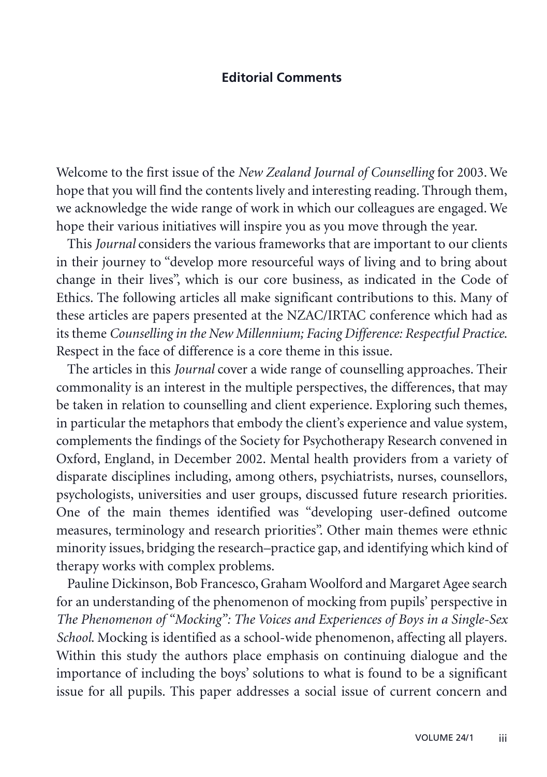## **Editorial Comments**

Welcome to the first issue of the *New Zealand Journal of Counselling* for 2003. We hope that you will find the contents lively and interesting reading. Through them, we acknowledge the wide range of work in which our colleagues are engaged. We hope their various initiatives will inspire you as you move through the year.

This *Journal* considers the various frameworks that are important to our clients in their journey to "develop more resourceful ways of living and to bring about change in their lives", which is our core business, as indicated in the Code of Ethics. The following articles all make significant contributions to this. Many of these articles are papers presented at the NZAC/IRTAC conference which had as its theme *Counselling in the New Millennium; Facing Difference: Respectful Practice*. Respect in the face of difference is a core theme in this issue.

The articles in this *Journal* cover a wide range of counselling approaches. Their commonality is an interest in the multiple perspectives, the differences, that may be taken in relation to counselling and client experience. Exploring such themes, in particular the metaphors that embody the client's experience and value system, complements the findings of the Society for Psychotherapy Research convened in Oxford, England, in December 2002. Mental health providers from a variety of disparate disciplines including, among others, psychiatrists, nurses, counsellors, psychologists, universities and user groups, discussed future research priorities. One of the main themes identified was "developing user-defined outcome measures, terminology and research priorities". Other main themes were ethnic minority issues, bridging the research–practice gap, and identifying which kind of therapy works with complex problems.

Pauline Dickinson, Bob Francesco, Graham Woolford and Margaret Agee search for an understanding of the phenomenon of mocking from pupils' perspective in *The Phenomenon of "Mocking": The Voices and Experiences of Boys in a Single-Sex School*. Mocking is identified as a school-wide phenomenon, affecting all players. Within this study the authors place emphasis on continuing dialogue and the importance of including the boys' solutions to what is found to be a significant issue for all pupils. This paper addresses a social issue of current concern and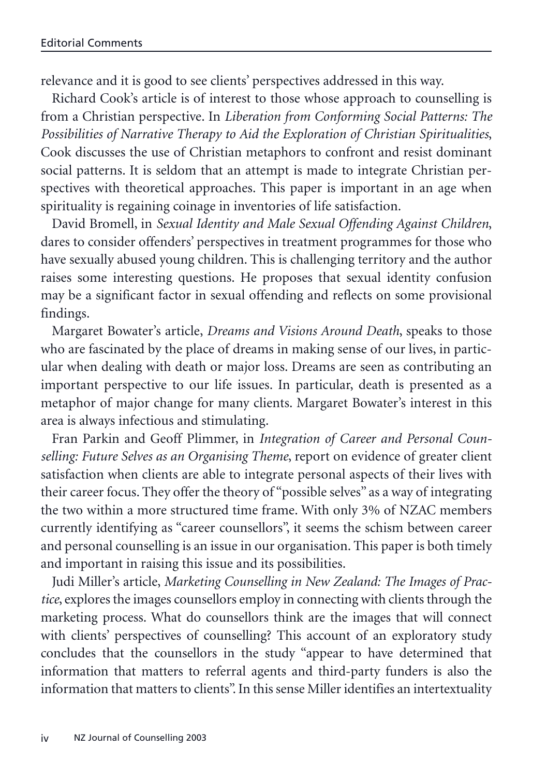relevance and it is good to see clients' perspectives addressed in this way.

Richard Cook's article is of interest to those whose approach to counselling is from a Christian perspective. In *Liberation from Conforming Social Patterns: The Possibilities of Narrative Therapy to Aid the Exploration of Christian Spiritualities*, Cook discusses the use of Christian metaphors to confront and resist dominant social patterns. It is seldom that an attempt is made to integrate Christian perspectives with theoretical approaches. This paper is important in an age when spirituality is regaining coinage in inventories of life satisfaction.

David Bromell, in *Sexual Identity and Male Sexual Offending Against Children*, dares to consider offenders' perspectives in treatment programmes for those who have sexually abused young children. This is challenging territory and the author raises some interesting questions. He proposes that sexual identity confusion may be a significant factor in sexual offending and reflects on some provisional findings.

Margaret Bowater's article, *Dreams and Visions Around Death*, speaks to those who are fascinated by the place of dreams in making sense of our lives, in particular when dealing with death or major loss. Dreams are seen as contributing an important perspective to our life issues. In particular, death is presented as a metaphor of major change for many clients. Margaret Bowater's interest in this area is always infectious and stimulating.

Fran Parkin and Geoff Plimmer, in *Integration of Career and Personal Counselling: Future Selves as an Organising Theme*, report on evidence of greater client satisfaction when clients are able to integrate personal aspects of their lives with their career focus. They offer the theory of "possible selves" as a way of integrating the two within a more structured time frame. With only 3% of NZAC members currently identifying as "career counsellors", it seems the schism between career and personal counselling is an issue in our organisation. This paper is both timely and important in raising this issue and its possibilities.

Judi Miller's article, *Marketing Counselling in New Zealand: The Images of Practice*, explores the images counsellors employ in connecting with clients through the marketing process. What do counsellors think are the images that will connect with clients' perspectives of counselling? This account of an exploratory study concludes that the counsellors in the study "appear to have determined that information that matters to referral agents and third-party funders is also the information that matters to clients". In this sense Miller identifies an intertextuality